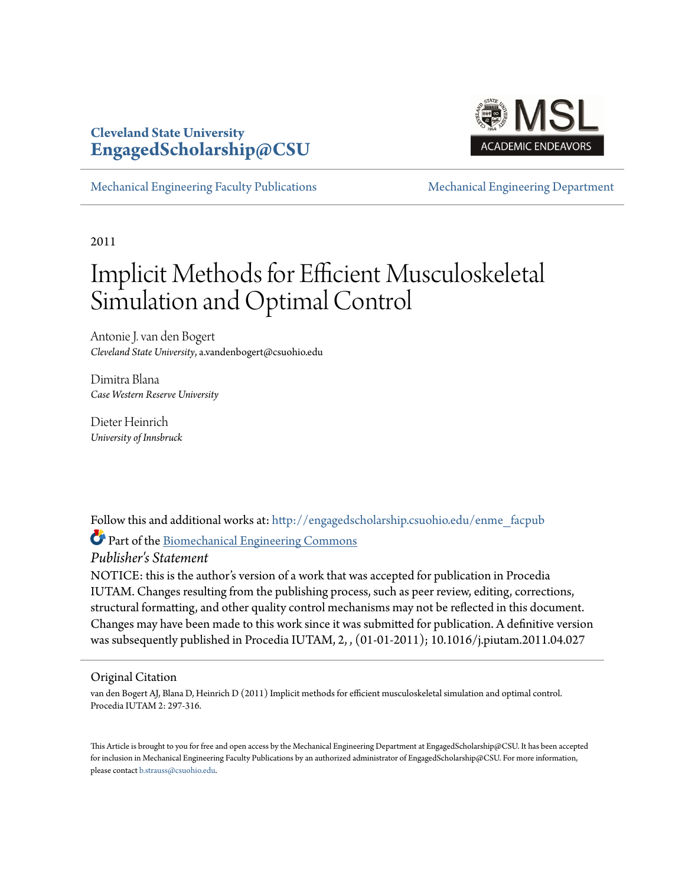### **Cleveland State University [EngagedScholarship@CSU](http://engagedscholarship.csuohio.edu?utm_source=engagedscholarship.csuohio.edu%2Fenme_facpub%2F20&utm_medium=PDF&utm_campaign=PDFCoverPages)**



[Mechanical Engineering Faculty Publications](http://engagedscholarship.csuohio.edu/enme_facpub?utm_source=engagedscholarship.csuohio.edu%2Fenme_facpub%2F20&utm_medium=PDF&utm_campaign=PDFCoverPages) [Mechanical Engineering Department](http://engagedscholarship.csuohio.edu/enme?utm_source=engagedscholarship.csuohio.edu%2Fenme_facpub%2F20&utm_medium=PDF&utm_campaign=PDFCoverPages)

2011

# Implicit Methods for Efficient Musculoskeletal Simulation and Optimal Control

Antonie J. van den Bogert *Cleveland State University*, a.vandenbogert@csuohio.edu

Dimitra Blana *Case Western Reserve University*

Dieter Heinrich *University of Innsbruck*

Follow this and additional works at: [http://engagedscholarship.csuohio.edu/enme\\_facpub](http://engagedscholarship.csuohio.edu/enme_facpub?utm_source=engagedscholarship.csuohio.edu%2Fenme_facpub%2F20&utm_medium=PDF&utm_campaign=PDFCoverPages)

Part of the [Biomechanical Engineering Commons](http://network.bepress.com/hgg/discipline/296?utm_source=engagedscholarship.csuohio.edu%2Fenme_facpub%2F20&utm_medium=PDF&utm_campaign=PDFCoverPages)

*Publisher's Statement*

NOTICE: this is the author's version of a work that was accepted for publication in Procedia IUTAM. Changes resulting from the publishing process, such as peer review, editing, corrections, structural formatting, and other quality control mechanisms may not be reflected in this document. Changes may have been made to this work since it was submitted for publication. A definitive version was subsequently published in Procedia IUTAM, 2, , (01-01-2011); 10.1016/j.piutam.2011.04.027

Original Citation

van den Bogert AJ, Blana D, Heinrich D (2011) Implicit methods for efficient musculoskeletal simulation and optimal control. Procedia IUTAM 2: 297-316.

This Article is brought to you for free and open access by the Mechanical Engineering Department at EngagedScholarship@CSU. It has been accepted for inclusion in Mechanical Engineering Faculty Publications by an authorized administrator of EngagedScholarship@CSU. For more information, please contact [b.strauss@csuohio.edu.](mailto:b.strauss@csuohio.edu)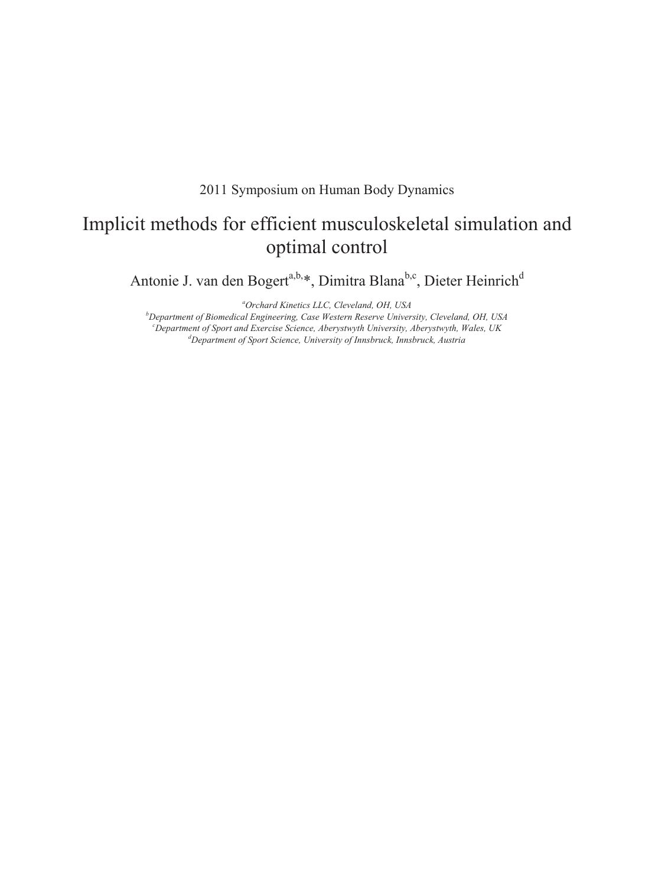2011 Symposium on Human Body Dynamics

# Implicit methods for efficient musculoskeletal simulation and optimal control

Antonie J. van den Bogert<sup>a,b,\*</sup>, Dimitra Blana<sup>b,c</sup>, Dieter Heinrich<sup>d</sup>

*a Orchard Kinetics LLC, Cleveland, OH, USA* 

*b Department of Biomedical Engineering, Case Western Reserve University, Cleveland, OH, USA c Department of Sport and Exercise Science, Aberystwyth University, Aberystwyth, Wales, UK d Department of Sport Science, University of Innsbruck, Innsbruck, Austria*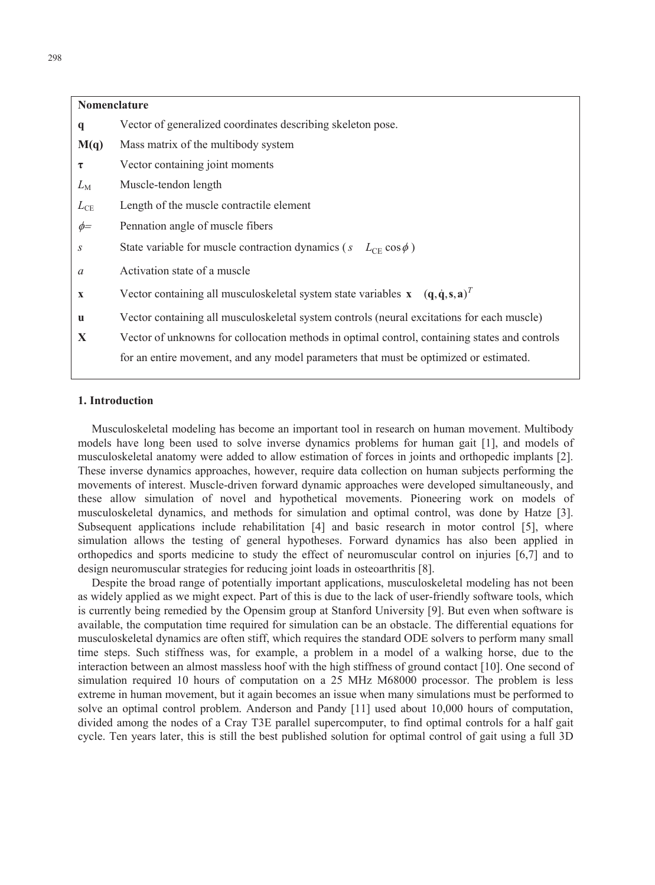## $M(q)$ *s* State variable for muscle contraction dynamics ( $s$   $L_{CE} \cos \phi$ ) **x** Vector containing all musculoskeletal system state variables **x**  $(\mathbf{q}, \dot{\mathbf{q}}, \mathbf{s}, \mathbf{a})^T$ **Nomenclature q** Vector of generalized coordinates describing skeleton pose. Mass matrix of the multibody system  $\tau$  Vector containing joint moments *L*<sub>M</sub> Muscle-tendon length  $L_{\text{CE}}$  Length of the muscle contractile element  $\phi$  Pennation angle of muscle fibers *a* Activation state of a muscle **u** Vector containing all musculoskeletal system controls (neural excitations for each muscle) **X** Vector of unknowns for collocation methods in optimal control, containing states and controls for an entire movement, and any model parameters that must be optimized or estimated.

#### **1. Introduction**

Musculoskeletal modeling has become an important tool in research on human movement. Multibody models have long been used to solve inverse dynamics problems for human gait [1], and models of musculoskeletal anatomy were added to allow estimation of forces in joints and orthopedic implants [2]. These inverse dynamics approaches, however, require data collection on human subjects performing the movements of interest. Muscle-driven forward dynamic approaches were developed simultaneously, and these allow simulation of novel and hypothetical movements. Pioneering work on models of musculoskeletal dynamics, and methods for simulation and optimal control, was done by Hatze [3]. Subsequent applications include rehabilitation [4] and basic research in motor control [5], where simulation allows the testing of general hypotheses. Forward dynamics has also been applied in orthopedics and sports medicine to study the effect of neuromuscular control on injuries [6,7] and to design neuromuscular strategies for reducing joint loads in osteoarthritis [8].

Despite the broad range of potentially important applications, musculoskeletal modeling has not been as widely applied as we might expect. Part of this is due to the lack of user-friendly software tools, which is currently being remedied by the Opensim group at Stanford University [9]. But even when software is available, the computation time required for simulation can be an obstacle. The differential equations for musculoskeletal dynamics are often stiff, which requires the standard ODE solvers to perform many small time steps. Such stiffness was, for example, a problem in a model of a walking horse, due to the interaction between an almost massless hoof with the high stiffness of ground contact [10]. One second of simulation required 10 hours of computation on a 25 MHz M68000 processor. The problem is less extreme in human movement, but it again becomes an issue when many simulations must be performed to solve an optimal control problem. Anderson and Pandy [11] used about 10,000 hours of computation, divided among the nodes of a Cray T3E parallel supercomputer, to find optimal controls for a half gait cycle. Ten years later, this is still the best published solution for optimal control of gait using a full 3D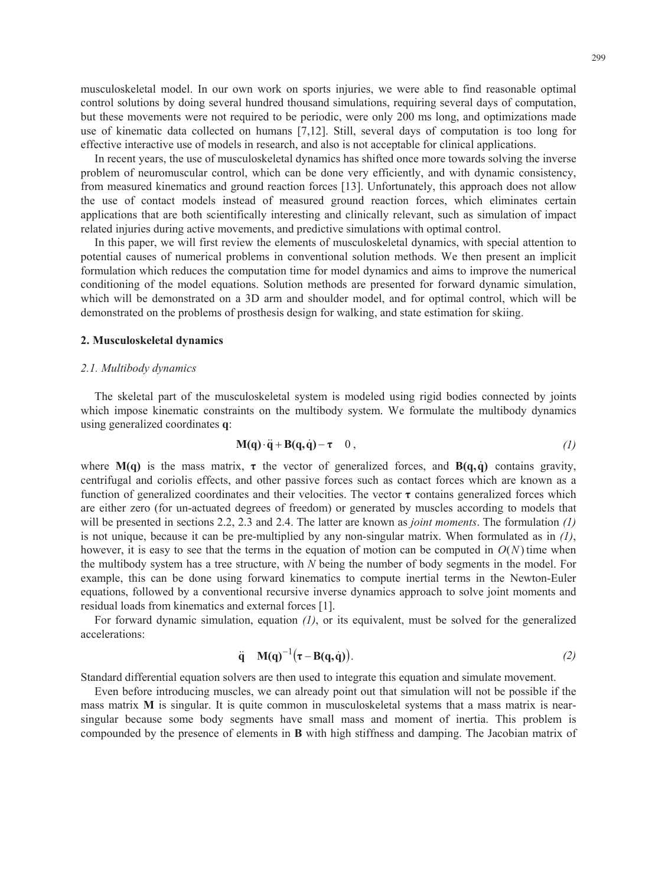musculoskeletal model. In our own work on sports injuries, we were able to find reasonable optimal control solutions by doing several hundred thousand simulations, requiring several days of computation, but these movements were not required to be periodic, were only 200 ms long, and optimizations made use of kinematic data collected on humans [7,12]. Still, several days of computation is too long for effective interactive use of models in research, and also is not acceptable for clinical applications.

In recent years, the use of musculoskeletal dynamics has shifted once more towards solving the inverse problem of neuromuscular control, which can be done very efficiently, and with dynamic consistency, from measured kinematics and ground reaction forces [13]. Unfortunately, this approach does not allow the use of contact models instead of measured ground reaction forces, which eliminates certain applications that are both scientifically interesting and clinically relevant, such as simulation of impact related injuries during active movements, and predictive simulations with optimal control.

In this paper, we will first review the elements of musculoskeletal dynamics, with special attention to potential causes of numerical problems in conventional solution methods. We then present an implicit formulation which reduces the computation time for model dynamics and aims to improve the numerical conditioning of the model equations. Solution methods are presented for forward dynamic simulation, which will be demonstrated on a 3D arm and shoulder model, and for optimal control, which will be demonstrated on the problems of prosthesis design for walking, and state estimation for skiing.

#### **2. Musculoskeletal dynamics**

#### *2.1. Multibody dynamics*

The skeletal part of the musculoskeletal system is modeled using rigid bodies connected by joints which impose kinematic constraints on the multibody system. We formulate the multibody dynamics using generalized coordinates **q**:

$$
M(q) \cdot \ddot{q} + B(q, \dot{q}) - \tau \quad 0, \tag{1}
$$

 will be presented in sections 2.2, 2.3 and 2.4. The latter are known as *joint moments*. The formulation *(1)*  where  $M(q)$  is the mass matrix,  $\tau$  the vector of generalized forces, and  $B(q,\dot{q})$  contains gravity, centrifugal and coriolis effects, and other passive forces such as contact forces which are known as a function of generalized coordinates and their velocities. The vector  $\tau$  contains generalized forces which are either zero (for un-actuated degrees of freedom) or generated by muscles according to models that is not unique, because it can be pre-multiplied by any non-singular matrix. When formulated as in *(1)*, however, it is easy to see that the terms in the equation of motion can be computed in  $O(N)$  time when the multibody system has a tree structure, with *N* being the number of body segments in the model. For example, this can be done using forward kinematics to compute inertial terms in the Newton-Euler equations, followed by a conventional recursive inverse dynamics approach to solve joint moments and residual loads from kinematics and external forces [1].

For forward dynamic simulation, equation *(1)*, or its equivalent, must be solved for the generalized accelerations:

$$
\ddot{\mathbf{q}} \quad \mathbf{M}(\mathbf{q})^{-1}(\boldsymbol{\tau} - \mathbf{B}(\mathbf{q}, \dot{\mathbf{q}})). \tag{2}
$$

Standard differential equation solvers are then used to integrate this equation and simulate movement.

Even before introducing muscles, we can already point out that simulation will not be possible if the mass matrix **M** is singular. It is quite common in musculoskeletal systems that a mass matrix is nearsingular because some body segments have small mass and moment of inertia. This problem is compounded by the presence of elements in **B** with high stiffness and damping. The Jacobian matrix of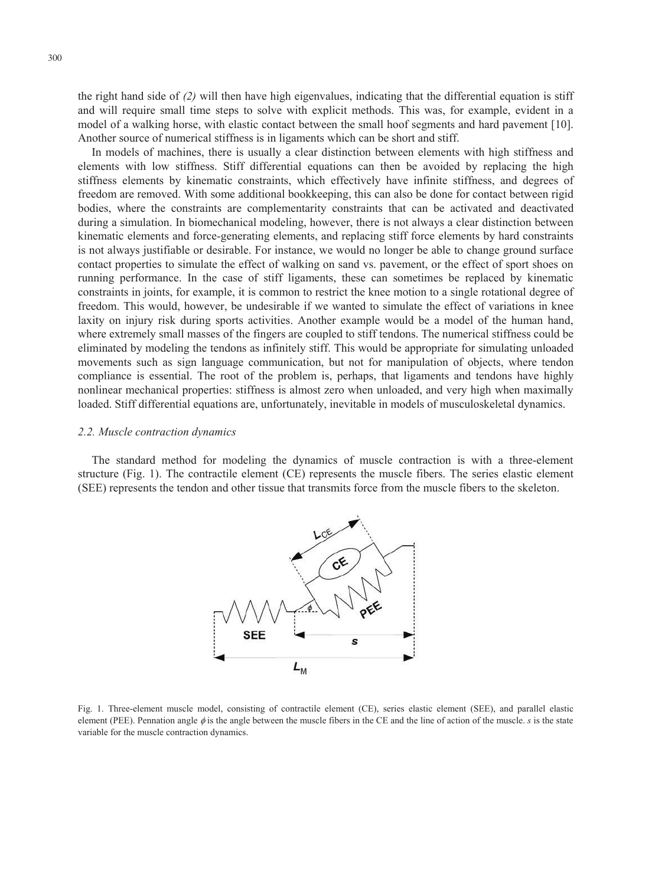the right hand side of *(2)* will then have high eigenvalues, indicating that the differential equation is stiff and will require small time steps to solve with explicit methods. This was, for example, evident in a model of a walking horse, with elastic contact between the small hoof segments and hard pavement [10]. Another source of numerical stiffness is in ligaments which can be short and stiff.

 elements with low stiffness. Stiff differential equations can then be avoided by replacing the high In models of machines, there is usually a clear distinction between elements with high stiffness and stiffness elements by kinematic constraints, which effectively have infinite stiffness, and degrees of freedom are removed. With some additional bookkeeping, this can also be done for contact between rigid bodies, where the constraints are complementarity constraints that can be activated and deactivated during a simulation. In biomechanical modeling, however, there is not always a clear distinction between kinematic elements and force-generating elements, and replacing stiff force elements by hard constraints is not always justifiable or desirable. For instance, we would no longer be able to change ground surface contact properties to simulate the effect of walking on sand vs. pavement, or the effect of sport shoes on running performance. In the case of stiff ligaments, these can sometimes be replaced by kinematic constraints in joints, for example, it is common to restrict the knee motion to a single rotational degree of freedom. This would, however, be undesirable if we wanted to simulate the effect of variations in knee laxity on injury risk during sports activities. Another example would be a model of the human hand, where extremely small masses of the fingers are coupled to stiff tendons. The numerical stiffness could be eliminated by modeling the tendons as infinitely stiff. This would be appropriate for simulating unloaded movements such as sign language communication, but not for manipulation of objects, where tendon compliance is essential. The root of the problem is, perhaps, that ligaments and tendons have highly nonlinear mechanical properties: stiffness is almost zero when unloaded, and very high when maximally loaded. Stiff differential equations are, unfortunately, inevitable in models of musculoskeletal dynamics.

#### *2.2. Muscle contraction dynamics*

The standard method for modeling the dynamics of muscle contraction is with a three-element structure (Fig. 1). The contractile element (CE) represents the muscle fibers. The series elastic element (SEE) represents the tendon and other tissue that transmits force from the muscle fibers to the skeleton.



Fig. 1. Three-element muscle model, consisting of contractile element (CE), series elastic element (SEE), and parallel elastic element (PEE). Pennation angle  $\phi$  is the angle between the muscle fibers in the CE and the line of action of the muscle. *s* is the state variable for the muscle contraction dynamics.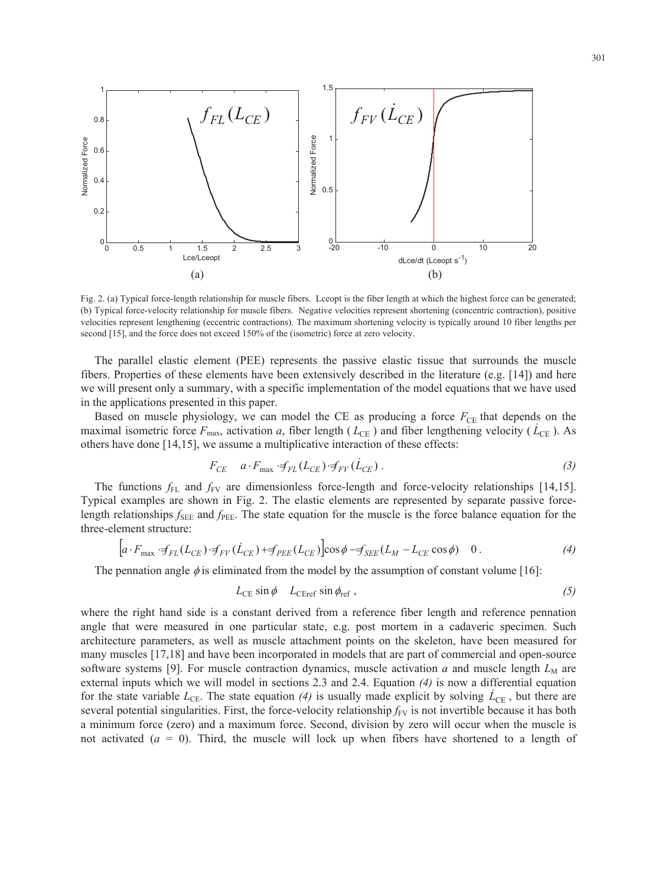

Fig. 2. (a) Typical force-length relationship for muscle fibers. Lceopt is the fiber length at which the highest force can be generated; (b) Typical force-velocity relationship for muscle fibers. Negative velocities represent shortening (concentric contraction), positive velocities represent lengthening (eccentric contractions). The maximum shortening velocity is typically around 10 fiber lengths per second [15], and the force does not exceed 150% of the (isometric) force at zero velocity.

The parallel elastic element (PEE) represents the passive elastic tissue that surrounds the muscle fibers. Properties of these elements have been extensively described in the literature (e.g. [14]) and here we will present only a summary, with a specific implementation of the model equations that we have used in the applications presented in this paper.

Based on muscle physiology, we can model the CE as producing a force  $F_{\text{CE}}$  that depends on the maximal isometric force  $F_{\text{max}}$ , activation *a*, fiber length ( $L_{\text{CE}}$ ) and fiber lengthening velocity ( $\dot{L}_{\text{CE}}$ ). As others have done [14,15], we assume a multiplicative interaction of these effects:

$$
F_{CE} \quad a \cdot F_{\text{max}} \cdot f_{FL}(L_{CE}) \cdot f_{FV}(\dot{L}_{CE}). \tag{3}
$$

The functions  $f_{FL}$  and  $f_{FV}$  are dimensionless force-length and force-velocity relationships [14,15]. Typical examples are shown in Fig. 2. The elastic elements are represented by separate passive forcelength relationships  $f_{\text{SEE}}$  and  $f_{\text{PEE}}$ . The state equation for the muscle is the force balance equation for the three-element structure:

$$
\left[a \cdot F_{\text{max}} \cdot f_{FL}(L_{CE}) \cdot f_{FV}(\dot{L}_{CE}) + f_{PEE}(L_{CE})\right] \cos \phi - f_{SEE}(L_M - L_{CE} \cos \phi) \quad 0. \tag{4}
$$

The pennation angle  $\phi$  is eliminated from the model by the assumption of constant volume [16]:

$$
L_{\text{CE}} \sin \phi \quad L_{\text{CEref}} \sin \phi_{\text{ref}} \,, \tag{5}
$$

 external inputs which we will model in sections 2.3 and 2.4. Equation *(4)* is now a differential equation where the right hand side is a constant derived from a reference fiber length and reference pennation angle that were measured in one particular state, e.g. post mortem in a cadaveric specimen. Such architecture parameters, as well as muscle attachment points on the skeleton, have been measured for many muscles [17,18] and have been incorporated in models that are part of commercial and open-source software systems [9]. For muscle contraction dynamics, muscle activation  $a$  and muscle length  $L_M$  are for the state variable  $L_{\text{CE}}$ . The state equation (4) is usually made explicit by solving  $\dot{L}_{\text{CE}}$ , but there are several potential singularities. First, the force-velocity relationship  $f_{FV}$  is not invertible because it has both a minimum force (zero) and a maximum force. Second, division by zero will occur when the muscle is not activated  $(a = 0)$ . Third, the muscle will lock up when fibers have shortened to a length of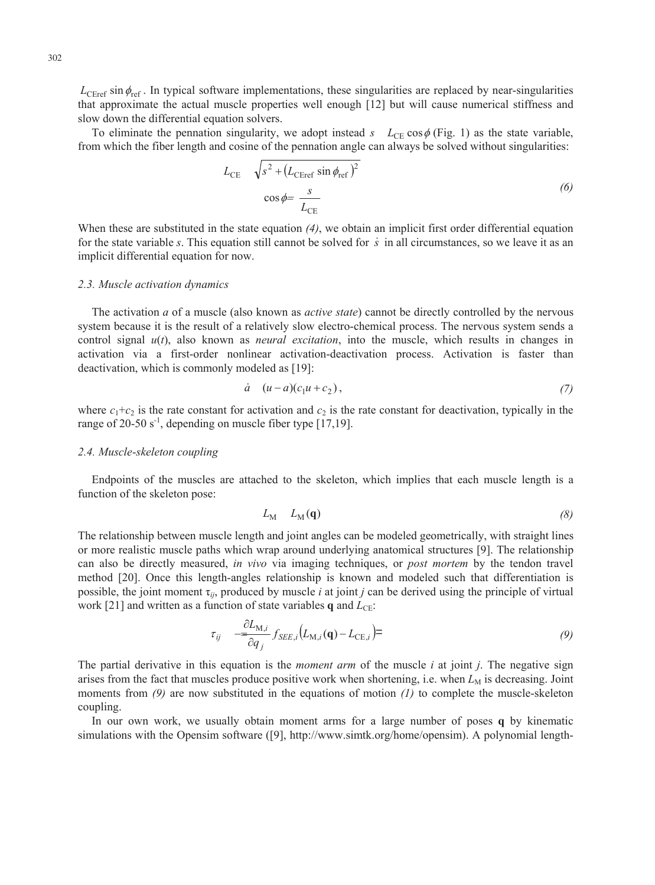$L_{\text{CER} \cdot \text{F}}$  is  $\phi_{\text{ref}}$ . In typical software implementations, these singularities are replaced by near-singularities that approximate the actual muscle properties well enough [12] but will cause numerical stiffness and slow down the differential equation solvers.

To eliminate the pennation singularity, we adopt instead  $s$   $L_{CE} \cos \phi$  (Fig. 1) as the state variable, from which the fiber length and cosine of the pennation angle can always be solved without singularities:

$$
L_{\text{CE}} \quad \sqrt{s^2 + (L_{\text{CEref}} \sin \phi_{\text{ref}})^2}
$$
  

$$
\cos \phi = \frac{s}{L_{\text{CE}}}
$$
 (6)

When these are substituted in the state equation *(4)*, we obtain an implicit first order differential equation for the state variable *s*. This equation still cannot be solved for *s* in all circumstances, so we leave it as an implicit differential equation for now.

#### *2.3. Muscle activation dynamics*

The activation *a* of a muscle (also known as *active state*) cannot be directly controlled by the nervous system because it is the result of a relatively slow electro-chemical process. The nervous system sends a control signal  $u(t)$ , also known as *neural excitation*, into the muscle, which results in changes in activation via a first-order nonlinear activation-deactivation process. Activation is faster than deactivation, which is commonly modeled as [19]:

$$
\dot{a} \quad (u-a)(c_1u+c_2), \tag{7}
$$

where  $c_1+c_2$  is the rate constant for activation and  $c_2$  is the rate constant for deactivation, typically in the range of 20-50  $s^{-1}$ , depending on muscle fiber type [17,19].

#### *2.4. Muscle-skeleton coupling*

Endpoints of the muscles are attached to the skeleton, which implies that each muscle length is a function of the skeleton pose:

$$
L_{\rm M} = L_{\rm M}(\mathbf{q}) \tag{8}
$$

The relationship between muscle length and joint angles can be modeled geometrically, with straight lines or more realistic muscle paths which wrap around underlying anatomical structures [9]. The relationship can also be directly measured, *in vivo* via imaging techniques, or *post mortem* by the tendon travel method [20]. Once this length-angles relationship is known and modeled such that differentiation is possible, the joint moment  $\tau_{ij}$ , produced by muscle *i* at joint *j* can be derived using the principle of virtual work [21] and written as a function of state variables  $q$  and  $L_{CE}$ :

$$
\tau_{ij} \quad -\frac{\partial L_{\mathbf{M},i}}{\partial q_j} f_{SEE,i} \left( L_{\mathbf{M},i}(\mathbf{q}) - L_{\mathbf{CE},i} \right) = \tag{9}
$$

The partial derivative in this equation is the *moment arm* of the muscle *i* at joint *j*. The negative sign arises from the fact that muscles produce positive work when shortening, i.e. when  $L_M$  is decreasing. Joint moments from *(9)* are now substituted in the equations of motion *(1)* to complete the muscle-skeleton coupling.

In our own work, we usually obtain moment arms for a large number of poses **q** by kinematic simulations with the Opensim software ([9], http://www.simtk.org/home/opensim). A polynomial length-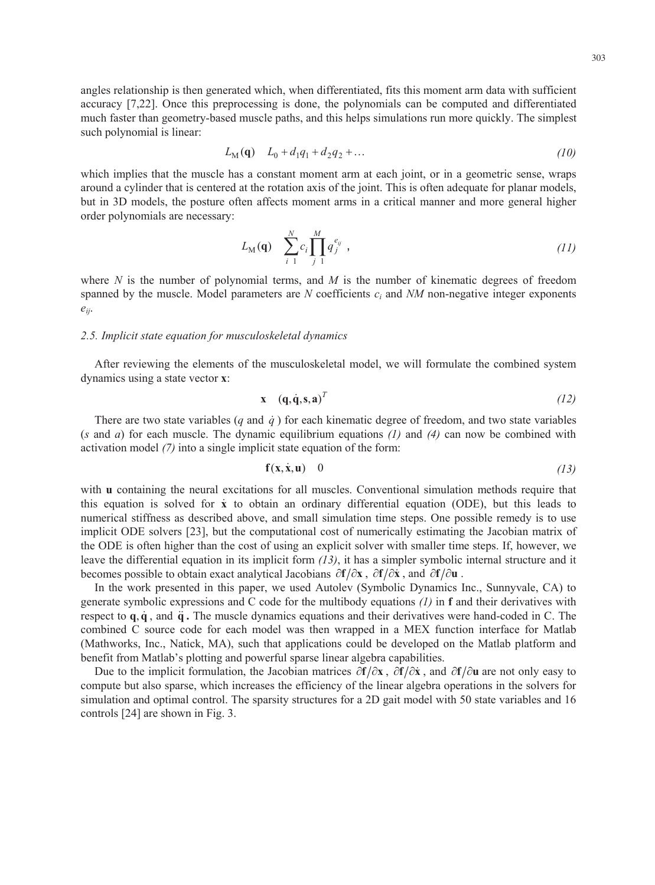$$
L_M(q) \quad L_0 + d_1 q_1 + d_2 q_2 + \dots \tag{10}
$$

which implies that the muscle has a constant moment arm at each joint, or in a geometric sense, wraps around a cylinder that is centered at the rotation axis of the joint. This is often adequate for planar models, but in 3D models, the posture often affects moment arms in a critical manner and more general higher order polynomials are necessary:

$$
L_{\mathbf{M}}(\mathbf{q}) \quad \sum_{i=1}^{N} c_i \prod_{j=1}^{M} q_j^{e_{ij}} \tag{11}
$$

where *N* is the number of polynomial terms, and *M* is the number of kinematic degrees of freedom spanned by the muscle. Model parameters are *N* coefficients *ci* and *NM* non-negative integer exponents *eij*.

#### *2.5. Implicit state equation for musculoskeletal dynamics*

After reviewing the elements of the musculoskeletal model, we will formulate the combined system dynamics using a state vector **x**:

$$
\mathbf{x} \quad (\mathbf{q}, \dot{\mathbf{q}}, \mathbf{s}, \mathbf{a})^T \tag{12}
$$

 (*s* and *a*) for each muscle. The dynamic equilibrium equations *(1)* and *(4)* can now be combined with There are two state variables  $(q \text{ and } \dot{q})$  for each kinematic degree of freedom, and two state variables activation model *(7)* into a single implicit state equation of the form:

$$
\mathbf{f}(\mathbf{x}, \dot{\mathbf{x}}, \mathbf{u}) \quad 0 \tag{13}
$$

 this equation is solved for **x** to obtain an ordinary differential equation (ODE), but this leads to with **u** containing the neural excitations for all muscles. Conventional simulation methods require that numerical stiffness as described above, and small simulation time steps. One possible remedy is to use implicit ODE solvers [23], but the computational cost of numerically estimating the Jacobian matrix of the ODE is often higher than the cost of using an explicit solver with smaller time steps. If, however, we leave the differential equation in its implicit form *(13)*, it has a simpler symbolic internal structure and it becomes possible to obtain exact analytical Jacobians  $\partial f/\partial x$ ,  $\partial f/\partial \dot{x}$ , and  $\partial f/\partial u$ .

In the work presented in this paper, we used Autolev (Symbolic Dynamics Inc., Sunnyvale, CA) to generate symbolic expressions and C code for the multibody equations *(1)* in **f** and their derivatives with respect to  $\bf{q}, \dot{\bf{q}},$  and  $\ddot{\bf{q}}$ . The muscle dynamics equations and their derivatives were hand-coded in C. The combined C source code for each model was then wrapped in a MEX function interface for Matlab (Mathworks, Inc., Natick, MA), such that applications could be developed on the Matlab platform and benefit from Matlab's plotting and powerful sparse linear algebra capabilities.

Due to the implicit formulation, the Jacobian matrices  $\partial f/\partial x$ ,  $\partial f/\partial x$ , and  $\partial f/\partial u$  are not only easy to compute but also sparse, which increases the efficiency of the linear algebra operations in the solvers for simulation and optimal control. The sparsity structures for a 2D gait model with 50 state variables and 16 controls [24] are shown in Fig. 3.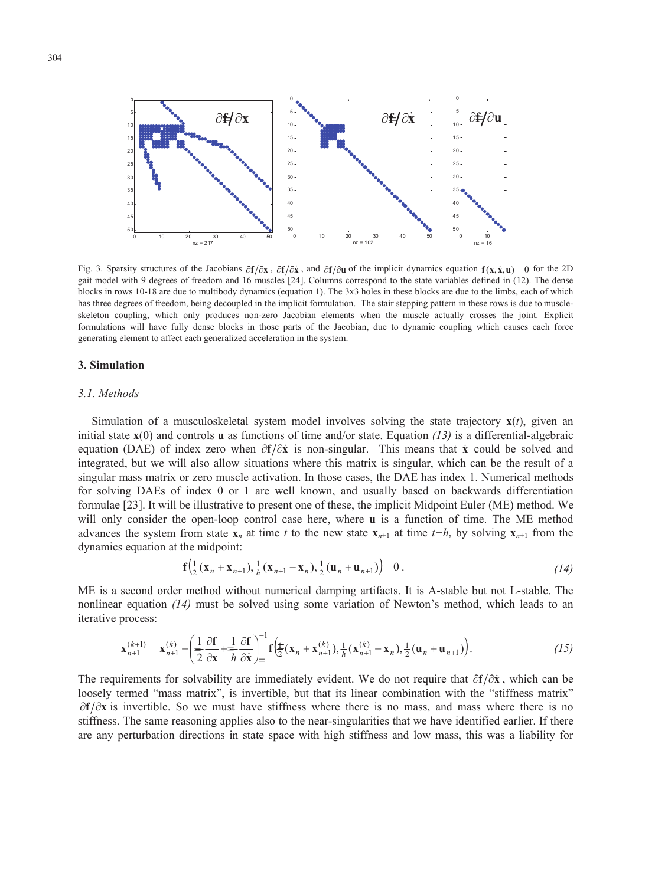

Fig. 3. Sparsity structures of the Jacobians  $\partial f/\partial x$ ,  $\partial f/\partial x$ , and  $\partial f/\partial u$  of the implicit dynamics equation  $f(x, \dot{x}, u)$  () for the 2D gait model with 9 degrees of freedom and 16 muscles [24]. Columns correspond to the state variables defined in (12). The dense blocks in rows 10-18 are due to multibody dynamics (equation 1). The 3x3 holes in these blocks are due to the limbs, each of which has three degrees of freedom, being decoupled in the implicit formulation. The stair stepping pattern in these rows is due to muscleskeleton coupling, which only produces non-zero Jacobian elements when the muscle actually crosses the joint. Explicit formulations will have fully dense blocks in those parts of the Jacobian, due to dynamic coupling which causes each force generating element to affect each generalized acceleration in the system.

#### **3. Simulation**

#### *3.1. Methods*

Simulation of a musculoskeletal system model involves solving the state trajectory **x**(*t*), given an initial state  $\mathbf{x}(0)$  and controls **u** as functions of time and/or state. Equation (13) is a differential-algebraic equation (DAE) of index zero when  $\partial f / \partial \dot{x}$  is non-singular. This means that  $\dot{x}$  could be solved and integrated, but we will also allow situations where this matrix is singular, which can be the result of a singular mass matrix or zero muscle activation. In those cases, the DAE has index 1. Numerical methods for solving DAEs of index 0 or 1 are well known, and usually based on backwards differentiation formulae [23]. It will be illustrative to present one of these, the implicit Midpoint Euler (ME) method. We will only consider the open-loop control case here, where **u** is a function of time. The ME method advances the system from state  $\mathbf{x}_n$  at time *t* to the new state  $\mathbf{x}_{n+1}$  at time *t*+*h*, by solving  $\mathbf{x}_{n+1}$  from the dynamics equation at the midpoint:

$$
\mathbf{f}\Big(\frac{1}{2}(\mathbf{x}_n + \mathbf{x}_{n+1}), \frac{1}{h}(\mathbf{x}_{n+1} - \mathbf{x}_n), \frac{1}{2}(\mathbf{u}_n + \mathbf{u}_{n+1})\Big) \quad 0 \ . \tag{14}
$$

ME is a second order method without numerical damping artifacts. It is A-stable but not L-stable. The nonlinear equation *(14)* must be solved using some variation of Newton's method, which leads to an iterative process:

$$
\mathbf{x}_{n+1}^{(k+1)} \quad \mathbf{x}_{n+1}^{(k)} - \left(\frac{1}{2}\frac{\partial \mathbf{f}}{\partial \mathbf{x}} + \frac{1}{h}\frac{\partial \mathbf{f}}{\partial \mathbf{x}}\right)_{=}^{-1} \mathbf{f}\left(\frac{1}{2}(\mathbf{x}_n + \mathbf{x}_{n+1}^{(k)}), \frac{1}{h}(\mathbf{x}_{n+1}^{(k)} - \mathbf{x}_n), \frac{1}{2}(\mathbf{u}_n + \mathbf{u}_{n+1})\right). \tag{15}
$$

The requirements for solvability are immediately evident. We do not require that  $\partial f/\partial x$ , which can be loosely termed "mass matrix", is invertible, but that its linear combination with the "stiffness matrix"  $\partial f/\partial x$  is invertible. So we must have stiffness where there is no mass, and mass where there is no stiffness. The same reasoning applies also to the near-singularities that we have identified earlier. If there are any perturbation directions in state space with high stiffness and low mass, this was a liability for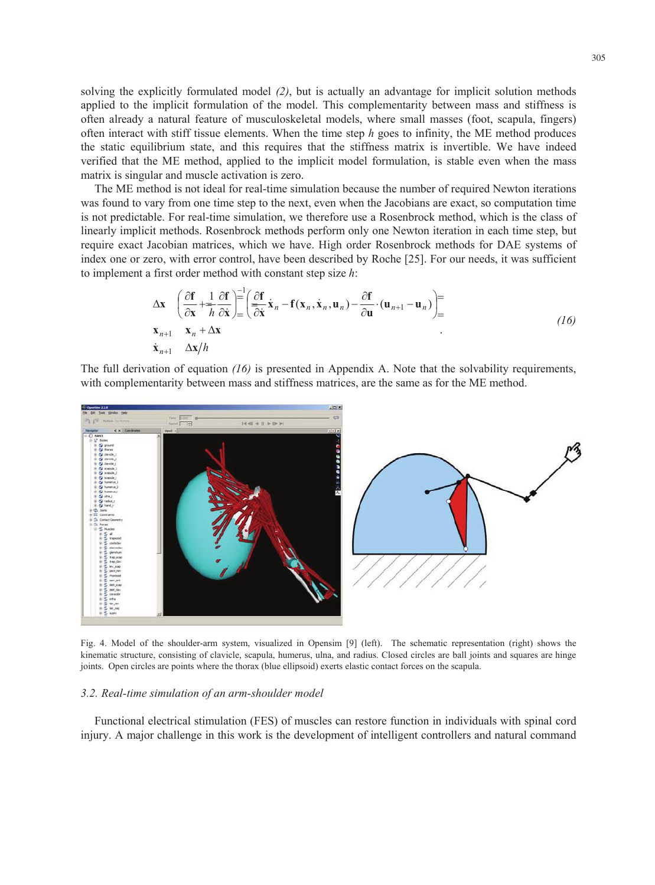solving the explicitly formulated model *(2)*, but is actually an advantage for implicit solution methods applied to the implicit formulation of the model. This complementarity between mass and stiffness is often already a natural feature of musculoskeletal models, where small masses (foot, scapula, fingers) often interact with stiff tissue elements. When the time step *h* goes to infinity, the ME method produces the static equilibrium state, and this requires that the stiffness matrix is invertible. We have indeed verified that the ME method, applied to the implicit model formulation, is stable even when the mass matrix is singular and muscle activation is zero.

The ME method is not ideal for real-time simulation because the number of required Newton iterations was found to vary from one time step to the next, even when the Jacobians are exact, so computation time is not predictable. For real-time simulation, we therefore use a Rosenbrock method, which is the class of linearly implicit methods. Rosenbrock methods perform only one Newton iteration in each time step, but require exact Jacobian matrices, which we have. High order Rosenbrock methods for DAE systems of index one or zero, with error control, have been described by Roche [25]. For our needs, it was sufficient to implement a first order method with constant step size *h*:

$$
\Delta \mathbf{x} \quad \left( \frac{\partial \mathbf{f}}{\partial \mathbf{x}} + \frac{1}{h} \frac{\partial \mathbf{f}}{\partial \dot{\mathbf{x}}} \right) = \left( \frac{\partial \mathbf{f}}{\partial \dot{\mathbf{x}}} \dot{\mathbf{x}}_n - \mathbf{f}(\mathbf{x}_n, \dot{\mathbf{x}}_n, \mathbf{u}_n) - \frac{\partial \mathbf{f}}{\partial \mathbf{u}} \cdot (\mathbf{u}_{n+1} - \mathbf{u}_n) \right) =
$$
\n
$$
\mathbf{x}_{n+1} \quad \mathbf{x}_n + \Delta \mathbf{x}
$$
\n
$$
\dot{\mathbf{x}}_{n+1} \quad \Delta \mathbf{x}/h
$$
\n(16)

The full derivation of equation *(16)* is presented in Appendix A. Note that the solvability requirements, with complementarity between mass and stiffness matrices, are the same as for the ME method.



Fig. 4. Model of the shoulder-arm system, visualized in Opensim [9] (left). The schematic representation (right) shows the kinematic structure, consisting of clavicle, scapula, humerus, ulna, and radius. Closed circles are ball joints and squares are hinge joints. Open circles are points where the thorax (blue ellipsoid) exerts elastic contact forces on the scapula.

#### *3.2. Real-time simulation of an arm-shoulder model*

Functional electrical stimulation (FES) of muscles can restore function in individuals with spinal cord injury. A major challenge in this work is the development of intelligent controllers and natural command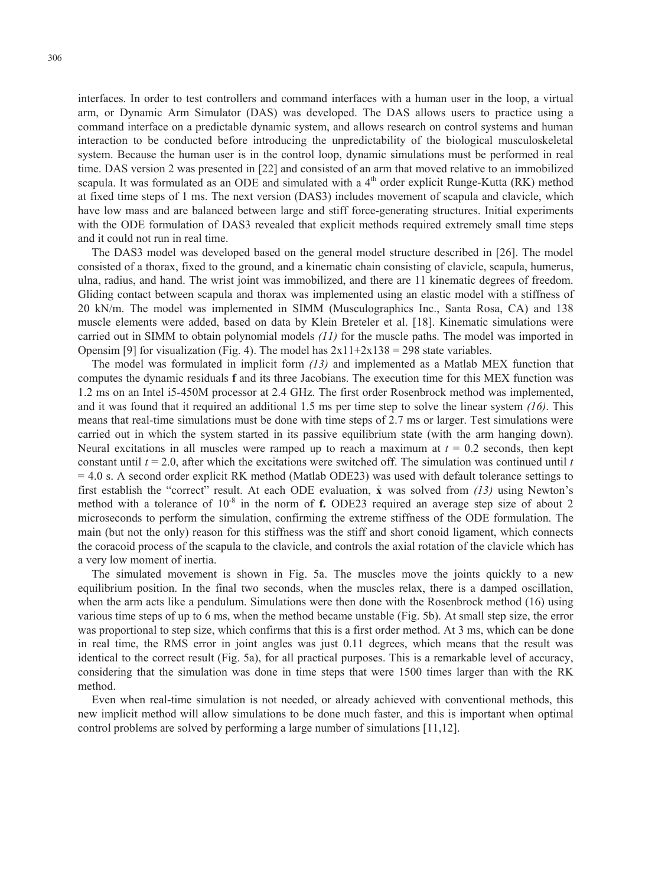interfaces. In order to test controllers and command interfaces with a human user in the loop, a virtual arm, or Dynamic Arm Simulator (DAS) was developed. The DAS allows users to practice using a command interface on a predictable dynamic system, and allows research on control systems and human interaction to be conducted before introducing the unpredictability of the biological musculoskeletal system. Because the human user is in the control loop, dynamic simulations must be performed in real time. DAS version 2 was presented in [22] and consisted of an arm that moved relative to an immobilized scapula. It was formulated as an ODE and simulated with a  $4<sup>th</sup>$  order explicit Runge-Kutta (RK) method at fixed time steps of 1 ms. The next version (DAS3) includes movement of scapula and clavicle, which have low mass and are balanced between large and stiff force-generating structures. Initial experiments with the ODE formulation of DAS3 revealed that explicit methods required extremely small time steps and it could not run in real time.

The DAS3 model was developed based on the general model structure described in [26]. The model consisted of a thorax, fixed to the ground, and a kinematic chain consisting of clavicle, scapula, humerus, ulna, radius, and hand. The wrist joint was immobilized, and there are 11 kinematic degrees of freedom. Gliding contact between scapula and thorax was implemented using an elastic model with a stiffness of 20 kN/m. The model was implemented in SIMM (Musculographics Inc., Santa Rosa, CA) and 138 muscle elements were added, based on data by Klein Breteler et al. [18]. Kinematic simulations were carried out in SIMM to obtain polynomial models *(11)* for the muscle paths. The model was imported in Opensim [9] for visualization (Fig. 4). The model has  $2x11+2x138 = 298$  state variables.

 first establish the "correct" result. At each ODE evaluation, **x** was solved from *(13)* using Newton's method with a tolerance of 10<sup>-8</sup> in the norm of **f.** ODE23 required an average step size of about 2 The model was formulated in implicit form *(13)* and implemented as a Matlab MEX function that computes the dynamic residuals **f** and its three Jacobians. The execution time for this MEX function was 1.2 ms on an Intel i5-450M processor at 2.4 GHz. The first order Rosenbrock method was implemented, and it was found that it required an additional 1.5 ms per time step to solve the linear system *(16)*. This means that real-time simulations must be done with time steps of 2.7 ms or larger. Test simulations were carried out in which the system started in its passive equilibrium state (with the arm hanging down). Neural excitations in all muscles were ramped up to reach a maximum at  $t = 0.2$  seconds, then kept constant until *t* = 2.0, after which the excitations were switched off. The simulation was continued until *t*  = 4.0 s. A second order explicit RK method (Matlab ODE23) was used with default tolerance settings to microseconds to perform the simulation, confirming the extreme stiffness of the ODE formulation. The main (but not the only) reason for this stiffness was the stiff and short conoid ligament, which connects the coracoid process of the scapula to the clavicle, and controls the axial rotation of the clavicle which has a very low moment of inertia.

The simulated movement is shown in Fig. 5a. The muscles move the joints quickly to a new equilibrium position. In the final two seconds, when the muscles relax, there is a damped oscillation, when the arm acts like a pendulum. Simulations were then done with the Rosenbrock method (16) using various time steps of up to 6 ms, when the method became unstable (Fig. 5b). At small step size, the error was proportional to step size, which confirms that this is a first order method. At 3 ms, which can be done in real time, the RMS error in joint angles was just 0.11 degrees, which means that the result was identical to the correct result (Fig. 5a), for all practical purposes. This is a remarkable level of accuracy, considering that the simulation was done in time steps that were 1500 times larger than with the RK method.

Even when real-time simulation is not needed, or already achieved with conventional methods, this new implicit method will allow simulations to be done much faster, and this is important when optimal control problems are solved by performing a large number of simulations [11,12].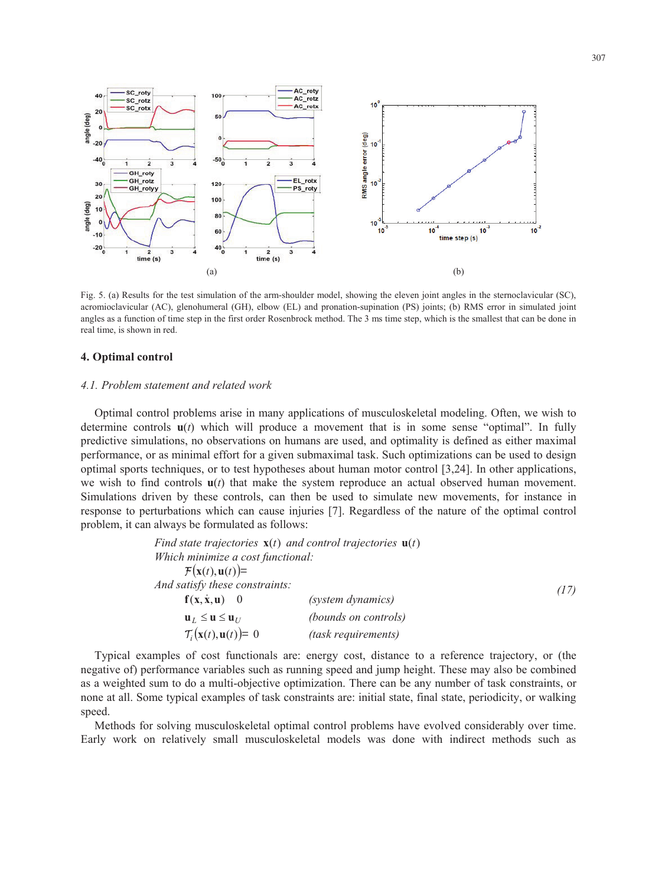

Fig. 5. (a) Results for the test simulation of the arm-shoulder model, showing the eleven joint angles in the sternoclavicular (SC), acromioclavicular (AC), glenohumeral (GH), elbow (EL) and pronation-supination (PS) joints; (b) RMS error in simulated joint angles as a function of time step in the first order Rosenbrock method. The 3 ms time step, which is the smallest that can be done in real time, is shown in red.

#### **4. Optimal control**

#### *4.1. Problem statement and related work*

Optimal control problems arise in many applications of musculoskeletal modeling. Often, we wish to determine controls **u**(*t*) which will produce a movement that is in some sense "optimal". In fully predictive simulations, no observations on humans are used, and optimality is defined as either maximal performance, or as minimal effort for a given submaximal task. Such optimizations can be used to design optimal sports techniques, or to test hypotheses about human motor control [3,24]. In other applications, we wish to find controls  $u(t)$  that make the system reproduce an actual observed human movement. Simulations driven by these controls, can then be used to simulate new movements, for instance in response to perturbations which can cause injuries [7]. Regardless of the nature of the optimal control problem, it can always be formulated as follows:

|                                                   | Find state trajectories $\mathbf{x}(t)$ and control trajectories $\mathbf{u}(t)$ |      |
|---------------------------------------------------|----------------------------------------------------------------------------------|------|
| Which minimize a cost functional:                 |                                                                                  |      |
| $\mathcal{F}(\mathbf{x}(t), \mathbf{u}(t)) =$     |                                                                                  |      |
| And satisfy these constraints:                    |                                                                                  | (17) |
| $f(x, \dot{x}, u)$ 0                              | (system dynamics)                                                                |      |
| $\mathbf{u}_L \leq \mathbf{u} \leq \mathbf{u}_U$  | (bounds on controls)                                                             |      |
| $\mathcal{T}_i(\mathbf{x}(t), \mathbf{u}(t)) = 0$ | (task requirements)                                                              |      |

Typical examples of cost functionals are: energy cost, distance to a reference trajectory, or (the negative of) performance variables such as running speed and jump height. These may also be combined as a weighted sum to do a multi-objective optimization. There can be any number of task constraints, or none at all. Some typical examples of task constraints are: initial state, final state, periodicity, or walking speed.

Methods for solving musculoskeletal optimal control problems have evolved considerably over time. Early work on relatively small musculoskeletal models was done with indirect methods such as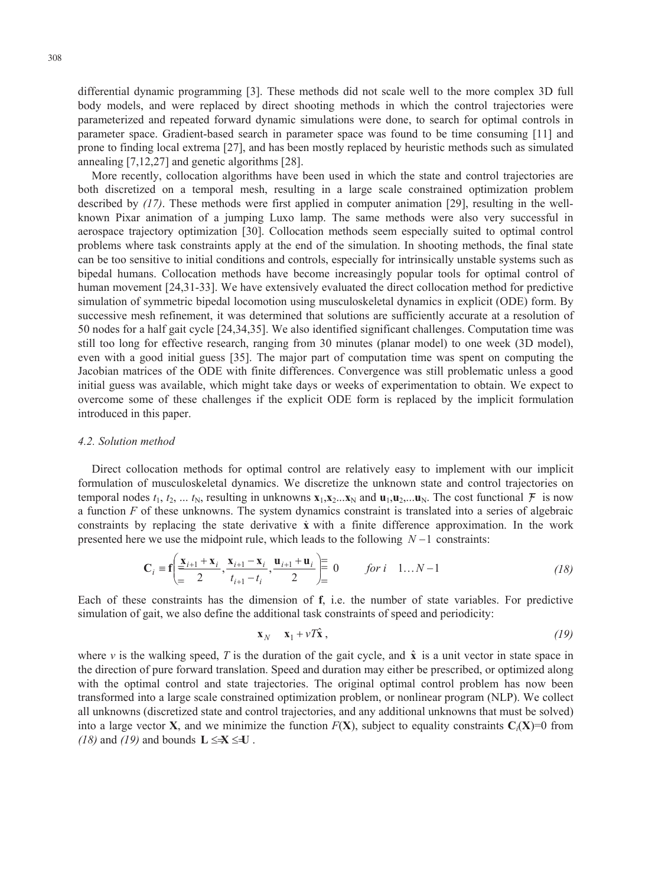differential dynamic programming [3]. These methods did not scale well to the more complex 3D full body models, and were replaced by direct shooting methods in which the control trajectories were parameterized and repeated forward dynamic simulations were done, to search for optimal controls in parameter space. Gradient-based search in parameter space was found to be time consuming [11] and prone to finding local extrema [27], and has been mostly replaced by heuristic methods such as simulated annealing [7,12,27] and genetic algorithms [28].

More recently, collocation algorithms have been used in which the state and control trajectories are both discretized on a temporal mesh, resulting in a large scale constrained optimization problem described by *(17)*. These methods were first applied in computer animation [29], resulting in the wellknown Pixar animation of a jumping Luxo lamp. The same methods were also very successful in aerospace trajectory optimization [30]. Collocation methods seem especially suited to optimal control problems where task constraints apply at the end of the simulation. In shooting methods, the final state can be too sensitive to initial conditions and controls, especially for intrinsically unstable systems such as bipedal humans. Collocation methods have become increasingly popular tools for optimal control of human movement [24,31-33]. We have extensively evaluated the direct collocation method for predictive simulation of symmetric bipedal locomotion using musculoskeletal dynamics in explicit (ODE) form. By successive mesh refinement, it was determined that solutions are sufficiently accurate at a resolution of 50 nodes for a half gait cycle [24,34,35]. We also identified significant challenges. Computation time was still too long for effective research, ranging from 30 minutes (planar model) to one week (3D model), even with a good initial guess [35]. The major part of computation time was spent on computing the Jacobian matrices of the ODE with finite differences. Convergence was still problematic unless a good initial guess was available, which might take days or weeks of experimentation to obtain. We expect to overcome some of these challenges if the explicit ODE form is replaced by the implicit formulation introduced in this paper.

#### *4.2. Solution method*

Direct collocation methods for optimal control are relatively easy to implement with our implicit formulation of musculoskeletal dynamics. We discretize the unknown state and control trajectories on temporal nodes  $t_1, t_2, \ldots, t_N$ , resulting in unknowns  $\mathbf{x}_1, \mathbf{x}_2, \ldots, \mathbf{x}_N$  and  $\mathbf{u}_1, \mathbf{u}_2, \ldots, \mathbf{u}_N$ . The cost functional  $\mathcal{F}$  is now a function *F* of these unknowns. The system dynamics constraint is translated into a series of algebraic constraints by replacing the state derivative **x** with a finite difference approximation. In the work presented here we use the midpoint rule, which leads to the following  $N-1$  constraints:

$$
\mathbf{C}_{i} = \mathbf{f} \left( \frac{\mathbf{x}_{i+1} + \mathbf{x}_{i}}{2}, \frac{\mathbf{x}_{i+1} - \mathbf{x}_{i}}{t_{i+1} - t_{i}}, \frac{\mathbf{u}_{i+1} + \mathbf{u}_{i}}{2} \right) = 0 \quad \text{for } i \quad 1...N-1
$$
 (18)

Each of these constraints has the dimension of **f**, i.e. the number of state variables. For predictive simulation of gait, we also define the additional task constraints of speed and periodicity:

$$
\mathbf{x}_N - \mathbf{x}_1 + \nu T \hat{\mathbf{x}} \,,\tag{19}
$$

where  $\nu$  is the walking speed, *T* is the duration of the gait cycle, and  $\hat{\mathbf{x}}$  is a unit vector in state space in the direction of pure forward translation. Speed and duration may either be prescribed, or optimized along with the optimal control and state trajectories. The original optimal control problem has now been transformed into a large scale constrained optimization problem, or nonlinear program (NLP). We collect all unknowns (discretized state and control trajectories, and any additional unknowns that must be solved) into a large vector **X**, and we minimize the function  $F(X)$ , subject to equality constraints  $C_i(X)=0$  from  $(18)$  and  $(19)$  and bounds  $L \leq X \leq U$ .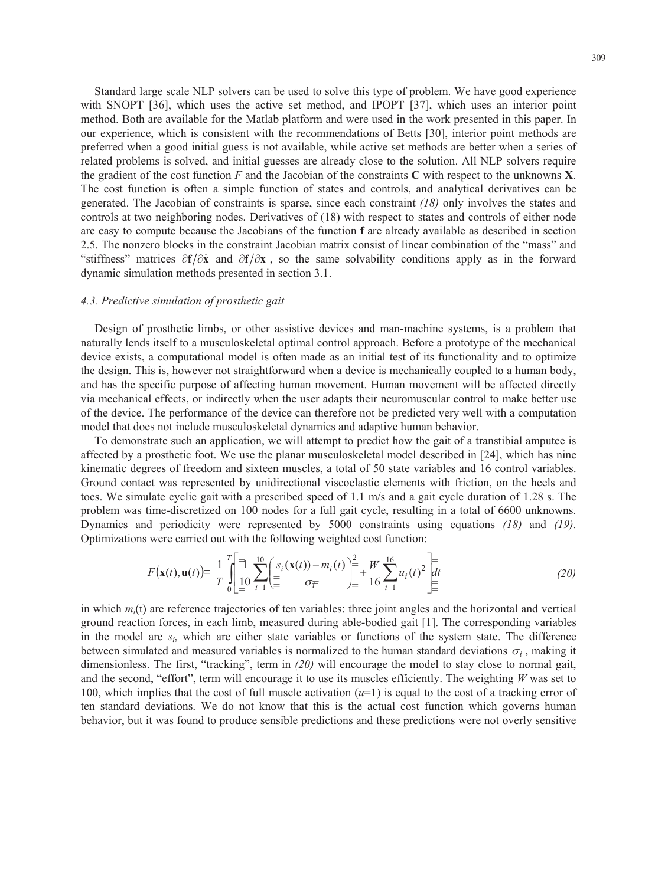the gradient of the cost function *F* and the Jacobian of the constraints **C** with respect to the unknowns **X**. are easy to compute because the Jacobians of the function **f** are already available as described in section Standard large scale NLP solvers can be used to solve this type of problem. We have good experience with SNOPT [36], which uses the active set method, and IPOPT [37], which uses an interior point method. Both are available for the Matlab platform and were used in the work presented in this paper. In our experience, which is consistent with the recommendations of Betts [30], interior point methods are preferred when a good initial guess is not available, while active set methods are better when a series of related problems is solved, and initial guesses are already close to the solution. All NLP solvers require The cost function is often a simple function of states and controls, and analytical derivatives can be generated. The Jacobian of constraints is sparse, since each constraint *(18)* only involves the states and controls at two neighboring nodes. Derivatives of (18) with respect to states and controls of either node 2.5. The nonzero blocks in the constraint Jacobian matrix consist of linear combination of the "mass" and "stiffness" matrices  $\partial f/\partial x$  and  $\partial f/\partial x$ , so the same solvability conditions apply as in the forward dynamic simulation methods presented in section 3.1.

#### *4.3. Predictive simulation of prosthetic gait*

Design of prosthetic limbs, or other assistive devices and man-machine systems, is a problem that naturally lends itself to a musculoskeletal optimal control approach. Before a prototype of the mechanical device exists, a computational model is often made as an initial test of its functionality and to optimize the design. This is, however not straightforward when a device is mechanically coupled to a human body, and has the specific purpose of affecting human movement. Human movement will be affected directly via mechanical effects, or indirectly when the user adapts their neuromuscular control to make better use of the device. The performance of the device can therefore not be predicted very well with a computation model that does not include musculoskeletal dynamics and adaptive human behavior.

To demonstrate such an application, we will attempt to predict how the gait of a transtibial amputee is affected by a prosthetic foot. We use the planar musculoskeletal model described in [24], which has nine kinematic degrees of freedom and sixteen muscles, a total of 50 state variables and 16 control variables. Ground contact was represented by unidirectional viscoelastic elements with friction, on the heels and toes. We simulate cyclic gait with a prescribed speed of 1.1 m/s and a gait cycle duration of 1.28 s. The problem was time-discretized on 100 nodes for a full gait cycle, resulting in a total of 6600 unknowns. Dynamics and periodicity were represented by 5000 constraints using equations *(18)* and *(19)*. Optimizations were carried out with the following weighted cost function:

$$
F(\mathbf{x}(t), \mathbf{u}(t)) = \frac{1}{T} \int_{0}^{T} \left[ \frac{1}{10} \sum_{i=1}^{10} \left( \frac{s_i(\mathbf{x}(t)) - m_i(t)}{\sigma_{\overline{T}}} \right) \right]_{0}^{2} + \frac{W}{16} \sum_{i=1}^{16} u_i(t)^2 \left[ \frac{dt}{\sigma_{\overline{T}}} \right] \tag{20}
$$

 in which *mi*(t) are reference trajectories of ten variables: three joint angles and the horizontal and vertical ten standard deviations. We do not know that this is the actual cost function which governs human ground reaction forces, in each limb, measured during able-bodied gait [1]. The corresponding variables in the model are *si*, which are either state variables or functions of the system state. The difference between simulated and measured variables is normalized to the human standard deviations  $\sigma_i$ , making it dimensionless. The first, "tracking", term in *(20)* will encourage the model to stay close to normal gait, and the second, "effort", term will encourage it to use its muscles efficiently. The weighting *W* was set to 100, which implies that the cost of full muscle activation (*u*=1) is equal to the cost of a tracking error of behavior, but it was found to produce sensible predictions and these predictions were not overly sensitive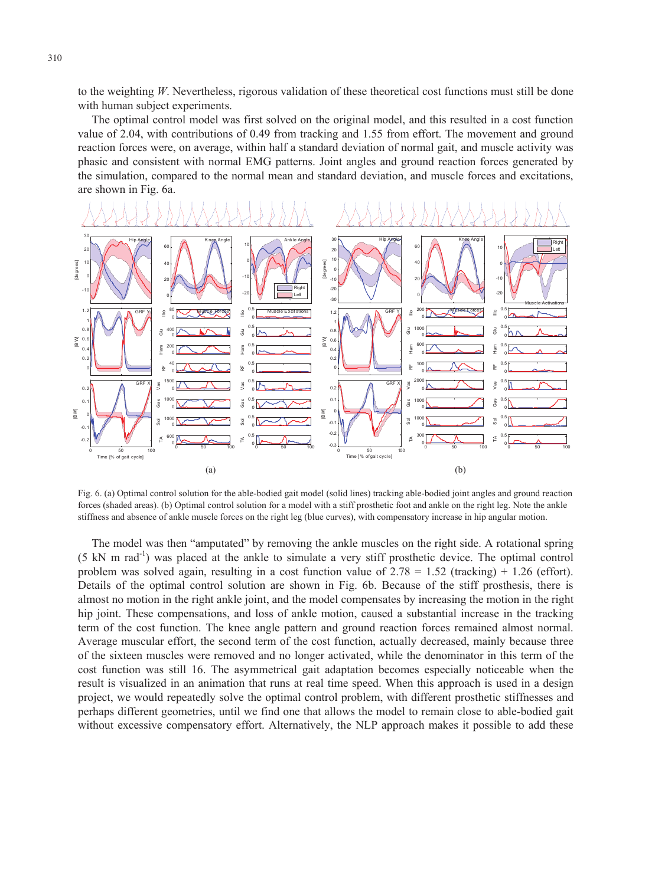to the weighting *W*. Nevertheless, rigorous validation of these theoretical cost functions must still be done with human subject experiments.

The optimal control model was first solved on the original model, and this resulted in a cost function value of 2.04, with contributions of 0.49 from tracking and 1.55 from effort. The movement and ground reaction forces were, on average, within half a standard deviation of normal gait, and muscle activity was phasic and consistent with normal EMG patterns. Joint angles and ground reaction forces generated by the simulation, compared to the normal mean and standard deviation, and muscle forces and excitations, are shown in Fig. 6a.



Fig. 6. (a) Optimal control solution for the able-bodied gait model (solid lines) tracking able-bodied joint angles and ground reaction forces (shaded areas). (b) Optimal control solution for a model with a stiff prosthetic foot and ankle on the right leg. Note the ankle stiffness and absence of ankle muscle forces on the right leg (blue curves), with compensatory increase in hip angular motion.

The model was then "amputated" by removing the ankle muscles on the right side. A rotational spring (5 kN m rad-1) was placed at the ankle to simulate a very stiff prosthetic device. The optimal control problem was solved again, resulting in a cost function value of  $2.78 = 1.52$  (tracking) + 1.26 (effort). Details of the optimal control solution are shown in Fig. 6b. Because of the stiff prosthesis, there is almost no motion in the right ankle joint, and the model compensates by increasing the motion in the right hip joint. These compensations, and loss of ankle motion, caused a substantial increase in the tracking term of the cost function. The knee angle pattern and ground reaction forces remained almost normal. Average muscular effort, the second term of the cost function, actually decreased, mainly because three of the sixteen muscles were removed and no longer activated, while the denominator in this term of the cost function was still 16. The asymmetrical gait adaptation becomes especially noticeable when the result is visualized in an animation that runs at real time speed. When this approach is used in a design project, we would repeatedly solve the optimal control problem, with different prosthetic stiffnesses and perhaps different geometries, until we find one that allows the model to remain close to able-bodied gait without excessive compensatory effort. Alternatively, the NLP approach makes it possible to add these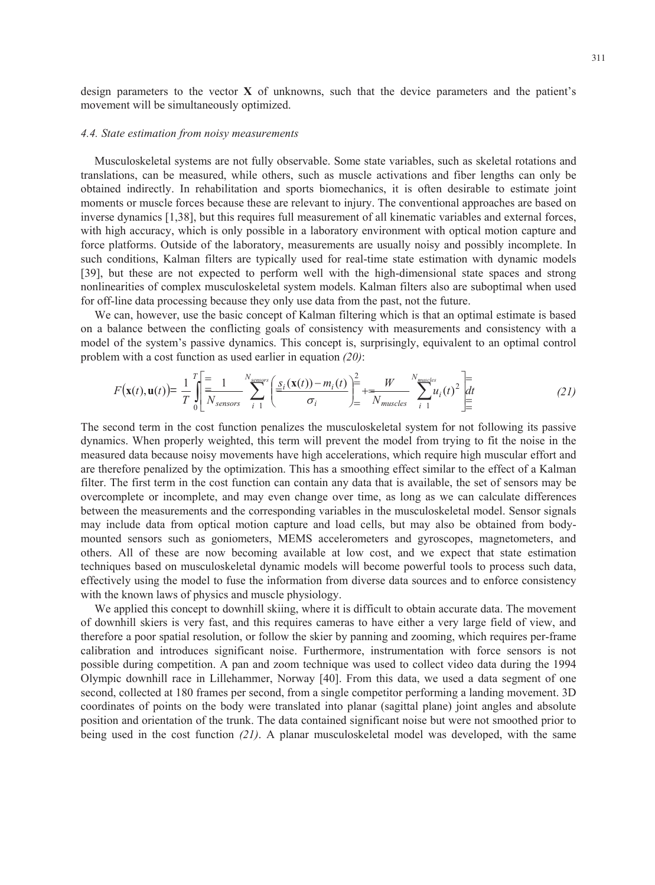design parameters to the vector **X** of unknowns, such that the device parameters and the patient's movement will be simultaneously optimized.

#### *4.4. State estimation from noisy measurements*

Musculoskeletal systems are not fully observable. Some state variables, such as skeletal rotations and translations, can be measured, while others, such as muscle activations and fiber lengths can only be obtained indirectly. In rehabilitation and sports biomechanics, it is often desirable to estimate joint moments or muscle forces because these are relevant to injury. The conventional approaches are based on inverse dynamics [1,38], but this requires full measurement of all kinematic variables and external forces, with high accuracy, which is only possible in a laboratory environment with optical motion capture and force platforms. Outside of the laboratory, measurements are usually noisy and possibly incomplete. In such conditions, Kalman filters are typically used for real-time state estimation with dynamic models [39], but these are not expected to perform well with the high-dimensional state spaces and strong nonlinearities of complex musculoskeletal system models. Kalman filters also are suboptimal when used for off-line data processing because they only use data from the past, not the future.

We can, however, use the basic concept of Kalman filtering which is that an optimal estimate is based on a balance between the conflicting goals of consistency with measurements and consistency with a model of the system's passive dynamics. This concept is, surprisingly, equivalent to an optimal control problem with a cost function as used earlier in equation *(20)*:

$$
F(\mathbf{x}(t), \mathbf{u}(t)) = \frac{1}{T} \int_{0}^{T} \left[ \frac{1}{N_{sensors}} \sum_{i=1}^{N_{sensors}} \left( \frac{s_i(\mathbf{x}(t)) - m_i(t)}{\sigma_i} \right) \right]_{t=0}^{2} + \frac{W}{N_{muscles}} \sum_{i=1}^{N_{muscles}} u_i(t)^2 \left[ \frac{1}{dt} \right] \tag{21}
$$

The second term in the cost function penalizes the musculoskeletal system for not following its passive dynamics. When properly weighted, this term will prevent the model from trying to fit the noise in the measured data because noisy movements have high accelerations, which require high muscular effort and are therefore penalized by the optimization. This has a smoothing effect similar to the effect of a Kalman filter. The first term in the cost function can contain any data that is available, the set of sensors may be overcomplete or incomplete, and may even change over time, as long as we can calculate differences between the measurements and the corresponding variables in the musculoskeletal model. Sensor signals may include data from optical motion capture and load cells, but may also be obtained from bodymounted sensors such as goniometers, MEMS accelerometers and gyroscopes, magnetometers, and others. All of these are now becoming available at low cost, and we expect that state estimation techniques based on musculoskeletal dynamic models will become powerful tools to process such data, effectively using the model to fuse the information from diverse data sources and to enforce consistency with the known laws of physics and muscle physiology.

We applied this concept to downhill skiing, where it is difficult to obtain accurate data. The movement of downhill skiers is very fast, and this requires cameras to have either a very large field of view, and therefore a poor spatial resolution, or follow the skier by panning and zooming, which requires per-frame calibration and introduces significant noise. Furthermore, instrumentation with force sensors is not possible during competition. A pan and zoom technique was used to collect video data during the 1994 Olympic downhill race in Lillehammer, Norway [40]. From this data, we used a data segment of one second, collected at 180 frames per second, from a single competitor performing a landing movement. 3D coordinates of points on the body were translated into planar (sagittal plane) joint angles and absolute position and orientation of the trunk. The data contained significant noise but were not smoothed prior to being used in the cost function *(21)*. A planar musculoskeletal model was developed, with the same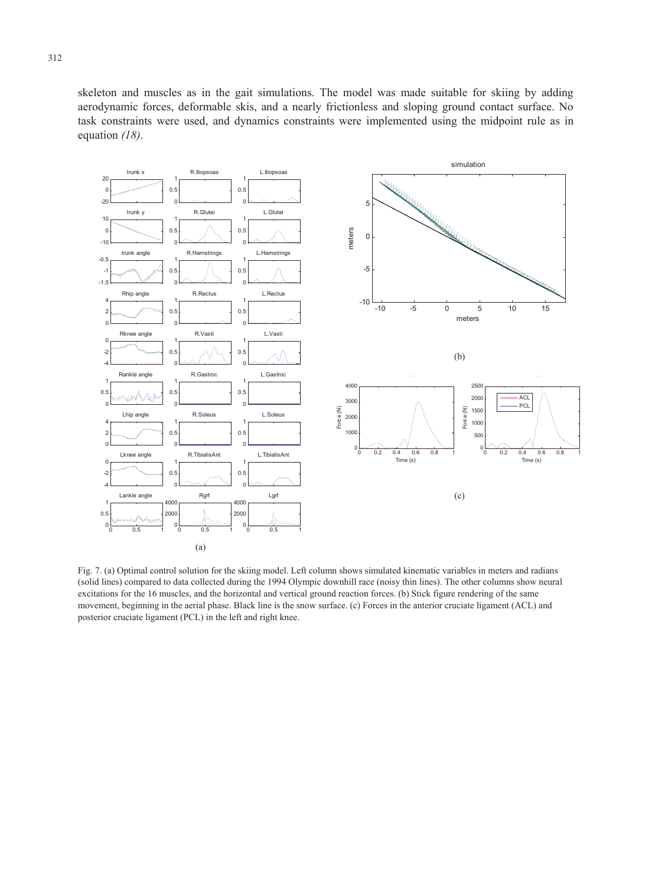skeleton and muscles as in the gait simulations. The model was made suitable for skiing by adding aerodynamic forces, deformable skis, and a nearly frictionless and sloping ground contact surface. No task constraints were used, and dynamics constraints were implemented using the midpoint rule as in equation *(18)*.



Fig. 7. (a) Optimal control solution for the skiing model. Left column shows simulated kinematic variables in meters and radians (solid lines) compared to data collected during the 1994 Olympic downhill race (noisy thin lines). The other columns show neural excitations for the 16 muscles, and the horizontal and vertical ground reaction forces. (b) Stick figure rendering of the same movement, beginning in the aerial phase. Black line is the snow surface. (c) Forces in the anterior cruciate ligament (ACL) and posterior cruciate ligament (PCL) in the left and right knee.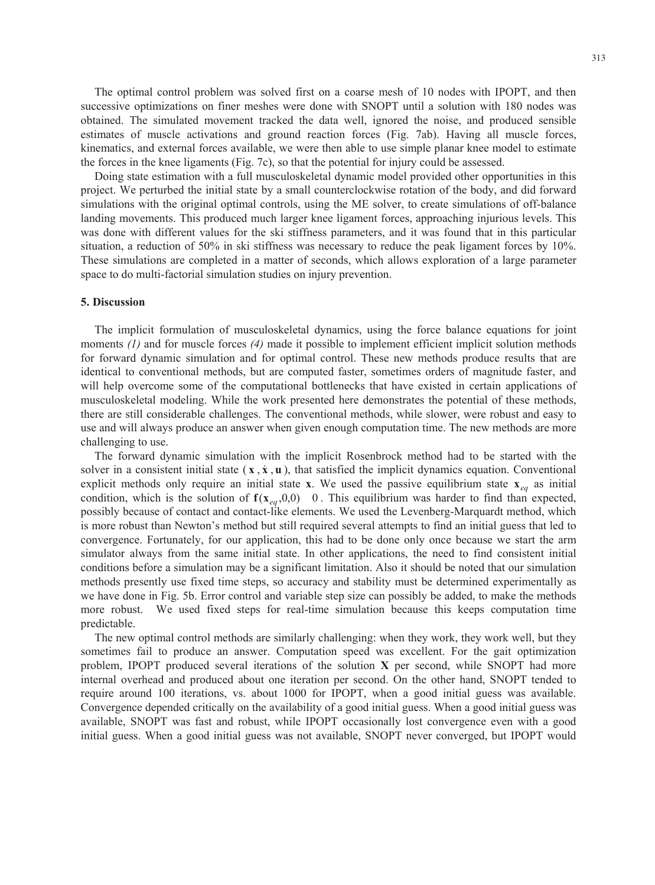The optimal control problem was solved first on a coarse mesh of 10 nodes with IPOPT, and then successive optimizations on finer meshes were done with SNOPT until a solution with 180 nodes was obtained. The simulated movement tracked the data well, ignored the noise, and produced sensible estimates of muscle activations and ground reaction forces (Fig. 7ab). Having all muscle forces, kinematics, and external forces available, we were then able to use simple planar knee model to estimate the forces in the knee ligaments (Fig. 7c), so that the potential for injury could be assessed.

 These simulations are completed in a matter of seconds, which allows exploration of a large parameter Doing state estimation with a full musculoskeletal dynamic model provided other opportunities in this project. We perturbed the initial state by a small counterclockwise rotation of the body, and did forward simulations with the original optimal controls, using the ME solver, to create simulations of off-balance landing movements. This produced much larger knee ligament forces, approaching injurious levels. This was done with different values for the ski stiffness parameters, and it was found that in this particular situation, a reduction of 50% in ski stiffness was necessary to reduce the peak ligament forces by 10%. space to do multi-factorial simulation studies on injury prevention.

#### **5. Discussion**

The implicit formulation of musculoskeletal dynamics, using the force balance equations for joint moments *(1)* and for muscle forces *(4)* made it possible to implement efficient implicit solution methods for forward dynamic simulation and for optimal control. These new methods produce results that are identical to conventional methods, but are computed faster, sometimes orders of magnitude faster, and will help overcome some of the computational bottlenecks that have existed in certain applications of musculoskeletal modeling. While the work presented here demonstrates the potential of these methods, there are still considerable challenges. The conventional methods, while slower, were robust and easy to use and will always produce an answer when given enough computation time. The new methods are more challenging to use.

condition, which is the solution of  $f(x_{eq}, 0, 0)$  0. This equilibrium was harder to find than expected, The forward dynamic simulation with the implicit Rosenbrock method had to be started with the solver in a consistent initial state  $(x, \dot{x}, \dot{u})$ , that satisfied the implicit dynamics equation. Conventional explicit methods only require an initial state **x**. We used the passive equilibrium state  $\mathbf{x}_{eq}$  as initial possibly because of contact and contact-like elements. We used the Levenberg-Marquardt method, which is more robust than Newton's method but still required several attempts to find an initial guess that led to convergence. Fortunately, for our application, this had to be done only once because we start the arm simulator always from the same initial state. In other applications, the need to find consistent initial conditions before a simulation may be a significant limitation. Also it should be noted that our simulation methods presently use fixed time steps, so accuracy and stability must be determined experimentally as we have done in Fig. 5b. Error control and variable step size can possibly be added, to make the methods more robust. We used fixed steps for real-time simulation because this keeps computation time predictable.

The new optimal control methods are similarly challenging: when they work, they work well, but they sometimes fail to produce an answer. Computation speed was excellent. For the gait optimization problem, IPOPT produced several iterations of the solution **X** per second, while SNOPT had more internal overhead and produced about one iteration per second. On the other hand, SNOPT tended to require around 100 iterations, vs. about 1000 for IPOPT, when a good initial guess was available. Convergence depended critically on the availability of a good initial guess. When a good initial guess was available, SNOPT was fast and robust, while IPOPT occasionally lost convergence even with a good initial guess. When a good initial guess was not available, SNOPT never converged, but IPOPT would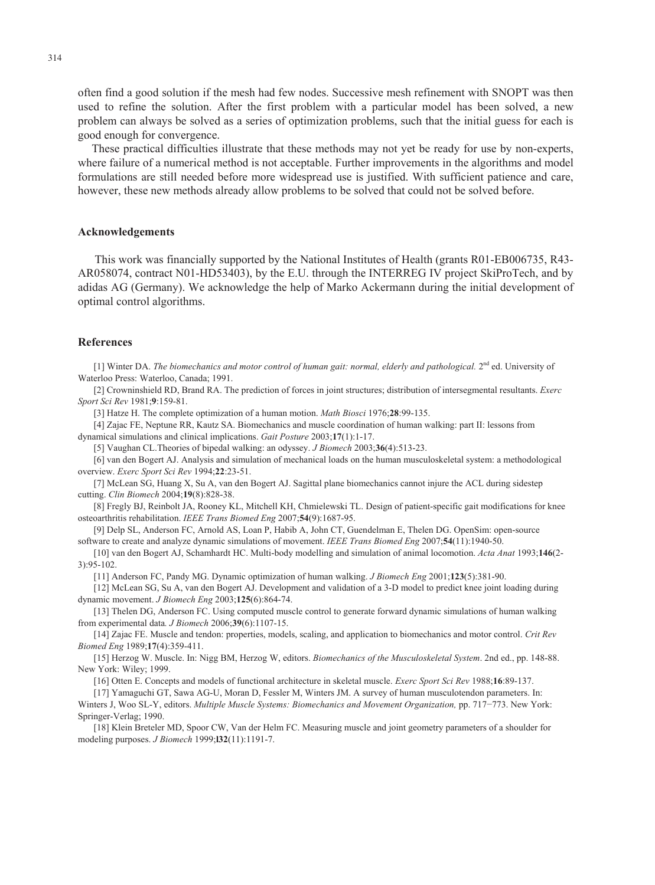often find a good solution if the mesh had few nodes. Successive mesh refinement with SNOPT was then used to refine the solution. After the first problem with a particular model has been solved, a new problem can always be solved as a series of optimization problems, such that the initial guess for each is good enough for convergence.

These practical difficulties illustrate that these methods may not yet be ready for use by non-experts, where failure of a numerical method is not acceptable. Further improvements in the algorithms and model formulations are still needed before more widespread use is justified. With sufficient patience and care, however, these new methods already allow problems to be solved that could not be solved before.

#### **Acknowledgements**

This work was financially supported by the National Institutes of Health (grants R01-EB006735, R43 AR058074, contract N01-HD53403), by the E.U. through the INTERREG IV project SkiProTech, and by adidas AG (Germany). We acknowledge the help of Marko Ackermann during the initial development of optimal control algorithms.

#### **References**

[1] Winter DA. *The biomechanics and motor control of human gait: normal, elderly and pathological.* 2<sup>nd</sup> ed. University of Waterloo Press: Waterloo, Canada; 1991.

[2] Crowninshield RD, Brand RA. The prediction of forces in joint structures; distribution of intersegmental resultants. *Exerc Sport Sci Rev* 1981;**9**:159-81.

[3] Hatze H. The complete optimization of a human motion. *Math Biosci* 1976;**28**:99-135.

[4] Zajac FE, Neptune RR, Kautz SA. Biomechanics and muscle coordination of human walking: part II: lessons from dynamical simulations and clinical implications. *Gait Posture* 2003;**17**(1):1-17.

[5] Vaughan CL.Theories of bipedal walking: an odyssey. *J Biomech* 2003;**36**(4):513-23.

[6] van den Bogert AJ. Analysis and simulation of mechanical loads on the human musculoskeletal system: a methodological overview. *Exerc Sport Sci Rev* 1994;**22**:23-51.

[7] McLean SG, Huang X, Su A, van den Bogert AJ. Sagittal plane biomechanics cannot injure the ACL during sidestep cutting. *Clin Biomech* 2004;**19**(8):828-38.

[8] Fregly BJ, Reinbolt JA, Rooney KL, Mitchell KH, Chmielewski TL. Design of patient-specific gait modifications for knee osteoarthritis rehabilitation. *IEEE Trans Biomed Eng* 2007;**54**(9):1687-95.

[9] Delp SL, Anderson FC, Arnold AS, Loan P, Habib A, John CT, Guendelman E, Thelen DG. OpenSim: open-source software to create and analyze dynamic simulations of movement. *IEEE Trans Biomed Eng* 2007;**54**(11):1940-50.

[10] van den Bogert AJ, Schamhardt HC. Multi-body modelling and simulation of animal locomotion. *Acta Anat* 1993;**146**(2 3):95-102.

[11] Anderson FC, Pandy MG. Dynamic optimization of human walking. *J Biomech Eng* 2001;**123**(5):381-90.

[12] McLean SG, Su A, van den Bogert AJ. Development and validation of a 3-D model to predict knee joint loading during dynamic movement. *J Biomech Eng* 2003;**125**(6):864-74.

[13] Thelen DG, Anderson FC. Using computed muscle control to generate forward dynamic simulations of human walking from experimental data*. J Biomech* 2006;**39**(6):1107-15.

[14] Zajac FE. Muscle and tendon: properties, models, scaling, and application to biomechanics and motor control. *Crit Rev Biomed Eng* 1989;**17**(4):359-411.

[15] Herzog W. Muscle. In: Nigg BM, Herzog W, editors. *Biomechanics of the Musculoskeletal System*. 2nd ed., pp. 148-88. New York: Wiley; 1999.

[16] Otten E. Concepts and models of functional architecture in skeletal muscle. *Exerc Sport Sci Rev* 1988;**16**:89-137.

[17] Yamaguchi GT, Sawa AG-U, Moran D, Fessler M, Winters JM. A survey of human musculotendon parameters. In: Winters J, Woo SL-Y, editors. *Multiple Muscle Systems: Biomechanics and Movement Organization*, pp. 717-773. New York: Springer-Verlag; 1990.

[18] Klein Breteler MD, Spoor CW, Van der Helm FC. Measuring muscle and joint geometry parameters of a shoulder for modeling purposes. *J Biomech* 1999;**l32**(11):1191-7.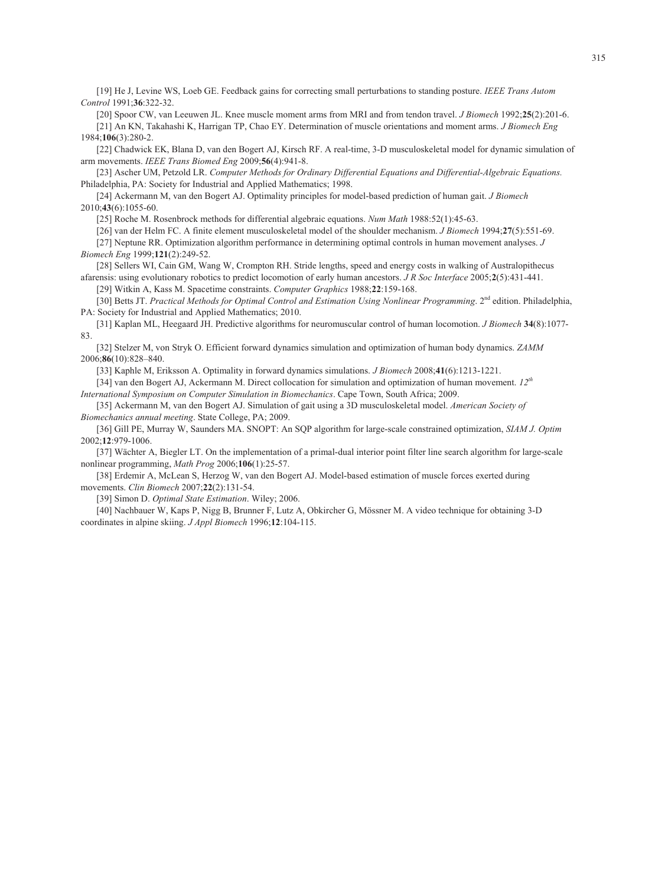[19] He J, Levine WS, Loeb GE. Feedback gains for correcting small perturbations to standing posture. *IEEE Trans Autom Control* 1991;**36**:322-32.

[20] Spoor CW, van Leeuwen JL. Knee muscle moment arms from MRI and from tendon travel. *J Biomech* 1992;**25**(2):201-6. [21] An KN, Takahashi K, Harrigan TP, Chao EY. Determination of muscle orientations and moment arms. *J Biomech Eng*  1984;**106**(3):280-2.

[22] Chadwick EK, Blana D, van den Bogert AJ, Kirsch RF. A real-time, 3-D musculoskeletal model for dynamic simulation of arm movements. *IEEE Trans Biomed Eng* 2009;**56**(4):941-8.

[23] Ascher UM, Petzold LR. *Computer Methods for Ordinary Differential Equations and Differential-Algebraic Equations.*  Philadelphia, PA: Society for Industrial and Applied Mathematics; 1998.

[24] Ackermann M, van den Bogert AJ. Optimality principles for model-based prediction of human gait. *J Biomech*  2010;**43**(6):1055-60.

[25] Roche M. Rosenbrock methods for differential algebraic equations. *Num Math* 1988:52(1):45-63.

[26] van der Helm FC. A finite element musculoskeletal model of the shoulder mechanism. *J Biomech* 1994;**27**(5):551-69.

[27] Neptune RR. Optimization algorithm performance in determining optimal controls in human movement analyses. *J Biomech Eng* 1999;**121**(2):249-52.

[28] Sellers WI, Cain GM, Wang W, Crompton RH. Stride lengths, speed and energy costs in walking of Australopithecus afarensis: using evolutionary robotics to predict locomotion of early human ancestors. *J R Soc Interface* 2005;**2**(5):431-441. [29] Witkin A, Kass M. Spacetime constraints. *Computer Graphics* 1988;**22**:159-168.

[30] Betts JT. *Practical Methods for Optimal Control and Estimation Using Nonlinear Programming*. 2<sup>nd</sup> edition. Philadelphia,

PA: Society for Industrial and Applied Mathematics; 2010.

[31] Kaplan ML, Heegaard JH. Predictive algorithms for neuromuscular control of human locomotion. *J Biomech* **34**(8):1077 83.

[32] Stelzer M, von Stryk O. Efficient forward dynamics simulation and optimization of human body dynamics. *ZAMM*  2006;**86**(10):828–840.

[33] Kaphle M, Eriksson A. Optimality in forward dynamics simulations. *J Biomech* 2008;**41**(6):1213-1221.

[34] van den Bogert AJ, Ackermann M. Direct collocation for simulation and optimization of human movement. *12th International Symposium on Computer Simulation in Biomechanics*. Cape Town, South Africa; 2009.

[35] Ackermann M, van den Bogert AJ. Simulation of gait using a 3D musculoskeletal model. *American Society of Biomechanics annual meeting*. State College, PA; 2009.

[36] Gill PE, Murray W, Saunders MA. SNOPT: An SQP algorithm for large-scale constrained optimization, *SIAM J. Optim*  2002;**12**:979-1006.

[37] Wächter A, Biegler LT. On the implementation of a primal-dual interior point filter line search algorithm for large-scale nonlinear programming, *Math Prog* 2006;**106**(1):25-57.

[38] Erdemir A, McLean S, Herzog W, van den Bogert AJ. Model-based estimation of muscle forces exerted during movements. *Clin Biomech* 2007;**22**(2):131-54.

[39] Simon D. *Optimal State Estimation*. Wiley; 2006.

[40] Nachbauer W, Kaps P, Nigg B, Brunner F, Lutz A, Obkircher G, Mössner M. A video technique for obtaining 3-D coordinates in alpine skiing. *J Appl Biomech* 1996;**12**:104-115.